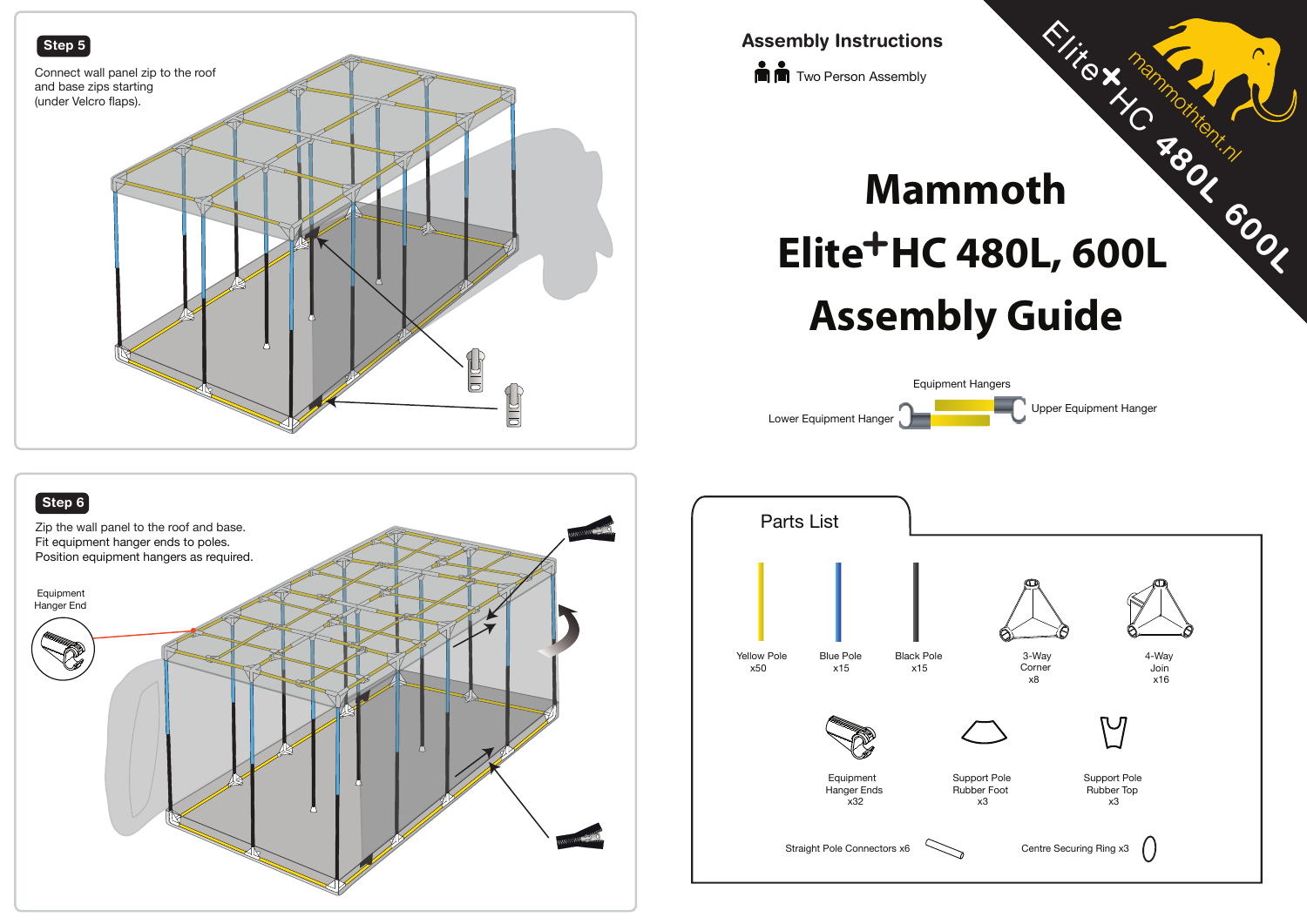**The Two Person Assembly Assembly Instructions**

## **Assembly Guide Elite<sup>+</sup>HC 480L, 600L Mammoth** Elite X months Container

mammothtent.nl







**+**